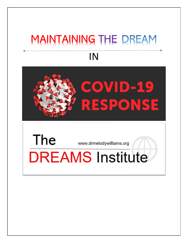## MAINTAINING THE DREAM IN



www.drmelodywilliams.org

# **DREAMS** Institute

The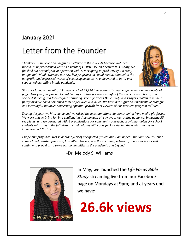#### January 2021

### Letter from the Founder

*Thank you! I believe I can begin this letter with these words because 2020 was indeed an unprecedented year as a result of COVID-19, and despite this reality, we finished our second year of operation with TDI erupting in productivity. So many unique individuals watched our new live programs on social media, donated to the nonprofit, and expressed words of encouragement as we endeavored to build and support others online in this pandemic.*



*Since we launched in 2018, TDI has reached 43,144 interactions through engagement on our Facebook page. This year, we pivoted to build a major online presence in light of the needed restrictions from social distancing and face-to-face gathering. The Life Focus Bible Study and Prayer Challenge in their first year have had a combined total of just over 45k views. We have had significant moments of dialogue and meaningful inquiries concerning spiritual growth from viewers of our new live program rollouts.*

*During the year, we hit a stride and we raised the most donations via donor giving from media platforms. We were able to bring joy in a challenging time through giveaways to our online audience, impacting 35 recipients, and we partnered with 4 organizations for community outreach, providing tablets for school students returning in the fall virtually and helping with coats for kids during the winter months in Hampton and Norfolk.*

*I hope and pray that 2021 is another year of unexpected growth and I am hopeful that our new YouTube channel and flagship program, Life After Divorce, and the upcoming release of some new books will continue to propel us to serve our communities in the pandemic and beyond.* 

-Dr. Melody S. Williams



In May, we launched the *Life Focus Bible Study* streaming live from our Facebook page on Mondays at 9pm; and at years end we have:

26.6k views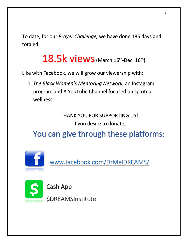To date, for our *Prayer Challenge,* we have done 185 days and totaled:

18.5k views (March 16th-Dec. 16th)

Like with Facebook, we will grow our viewership with:

1. *The Black Women's Mentoring Network*, an Instagram program and A YouTube Channel focused on spiritual wellness

> THANK YOU FOR SUPPORTING US! If you desire to donate,

You can give through these platforms:



[www.facebook.com/DrMelDREAMS/](http://www.facebook.com/DrMelDREAMS/)



Cash App

**\$DREAMSInstitute**